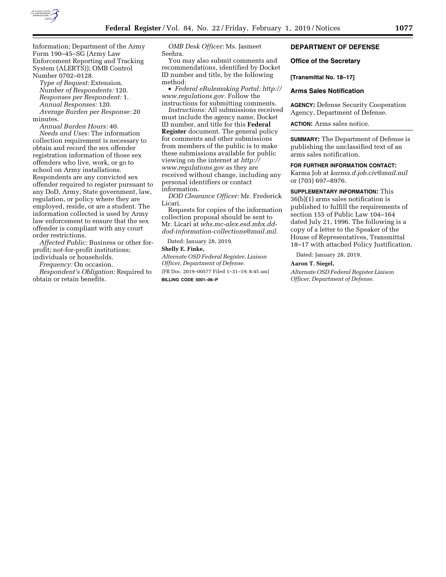

Information; Department of the Army Form 190–45–SG (Army Law Enforcement Reporting and Tracking System (ALERTS)); OMB Control Number 0702–0128.

*Type of Request:* Extension. *Number of Respondents:* 120. *Responses per Respondent:* 1. *Annual Responses:* 120. *Average Burden per Response:* 20

minutes.

*Annual Burden Hours:* 40. *Needs and Uses:* The information collection requirement is necessary to obtain and record the sex offender registration information of those sex offenders who live, work, or go to school on Army installations. Respondents are any convicted sex offender required to register pursuant to any DoD, Army, State government, law, regulation, or policy where they are employed, reside, or are a student. The information collected is used by Army law enforcement to ensure that the sex offender is compliant with any court order restrictions.

*Affected Public:* Business or other forprofit; not-for-profit institutions; individuals or households.

*Frequency:* On occasion.

*Respondent's Obligation:* Required to obtain or retain benefits.

*OMB Desk Officer:* Ms. Jasmeet Seehra.

You may also submit comments and recommendations, identified by Docket ID number and title, by the following method:

• *Federal eRulemaking Portal: [http://](http://www.regulations.gov)  [www.regulations.gov.](http://www.regulations.gov)* Follow the instructions for submitting comments.

*Instructions:* All submissions received must include the agency name, Docket ID number, and title for this **Federal Register** document. The general policy for comments and other submissions from members of the public is to make these submissions available for public viewing on the internet at *[http://](http://www.regulations.gov) [www.regulations.gov](http://www.regulations.gov)* as they are received without change, including any personal identifiers or contact information.

*DOD Clearance Officer:* Mr. Frederick Licari.

Requests for copies of the information collection proposal should be sent to Mr. Licari at *[whs.mc-alex.esd.mbx.dd](mailto:whs.mc-alex.esd.mbx.dd-dod-information-collections@mail.mil)[dod-information-collections@mail.mil.](mailto:whs.mc-alex.esd.mbx.dd-dod-information-collections@mail.mil)* 

Dated: January 28, 2019.

# **Shelly E. Finke,**

*Alternate OSD Federal Register, Liaison Officer, Department of Defense.*  [FR Doc. 2019–00577 Filed 1–31–19; 8:45 am] **BILLING CODE 5001–06–P** 

# **DEPARTMENT OF DEFENSE**

# **Office of the Secretary**

#### **[Transmittal No. 18–17]**

# **Arms Sales Notification**

**AGENCY:** Defense Security Cooperation Agency, Department of Defense.

**ACTION:** Arms sales notice.

**SUMMARY:** The Department of Defense is publishing the unclassified text of an arms sales notification.

# **FOR FURTHER INFORMATION CONTACT:**

Karma Job at *[karma.d.job.civ@mail.mil](mailto:karma.d.job.civ@mail.mil)*  or (703) 697–8976.

# **SUPPLEMENTARY INFORMATION:** This

36(b)(1) arms sales notification is published to fulfill the requirements of section 155 of Public Law 104–164 dated July 21, 1996. The following is a copy of a letter to the Speaker of the House of Representatives, Transmittal 18–17 with attached Policy Justification.

Dated: January 28, 2019.

### **Aaron T. Siegel,**

*Alternate OSD Federal Register Liaison Officer, Department of Defense.*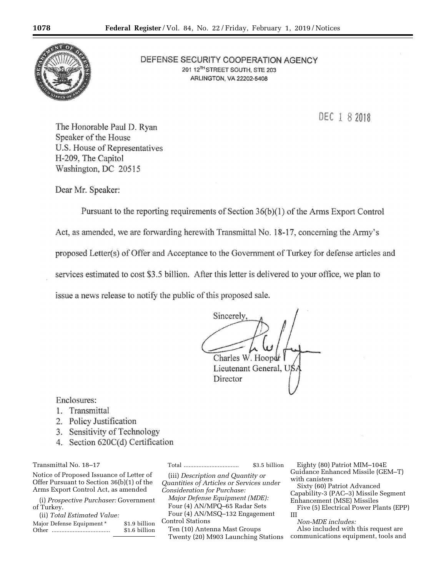

DEFENSE SECURITY COOPERATION AGENCY 201 12<sup>7H</sup> STREET SOUTH, STE 203 ARLINGTON, VA 22202-5408

DEC 1 8 2018

The Honorable Paul D. Ryan Speaker of the House U.S. House of Representatives H-209, The Capitol Washington, DC 20515

Dear Mr. Speaker:

Pursuant to the reporting requirements of Section 36(b)(1) of the Arms Export Control Act, as amended, we are forwarding herewith Transmittal No. 18-17, concerning the Army's proposed Letter(s) of Offer and Acceptance to the Government of Turkey for defense articles and services estimated to cost \$3.5 billion. After this letter is delivered to your office, we plan to issue a news release to notify the public of this proposed sale.

**Sincerely** Charles W. Hoopdr Lieutenant General, US. **Director** 

Enclosures:

- 1. Transmittal
- 2. Policy Justification
- 3. Sensitivity of Technology
- 4. Section 620C(d) Certification

Transmittal No. 18–17

Notice of Proposed Issuance of Letter of Offer Pursuant to Section 36(b)(1) of the Arms Export Control Act, as amended

(i) *Prospective Purchaser:* Government of Turkey.

| (ii) Total Estimated Value: |               |
|-----------------------------|---------------|
| Major Defense Equipment *   | \$1.9 billion |
| Other                       | \$1.6 billion |

Total .................................. \$3.5 billion

(iii) *Description and Quantity or Quantities of Articles or Services under Consideration for Purchase: Major Defense Equipment (MDE):*  Four (4) AN/MPQ–65 Radar Sets Four (4) AN/MSQ–132 Engagement Control Stations Ten (10) Antenna Mast Groups

Twenty (20) M903 Launching Stations

Eighty (80) Patriot MIM–104E Guidance Enhanced Missile (GEM–T) with canisters

Sixty (60) Patriot Advanced Capability-3 (PAC–3) Missile Segment Enhancement (MSE) Missiles Five (5) Electrical Power Plants (EPP) III

*Non-MDE includes:* 

Also included with this request are communications equipment, tools and